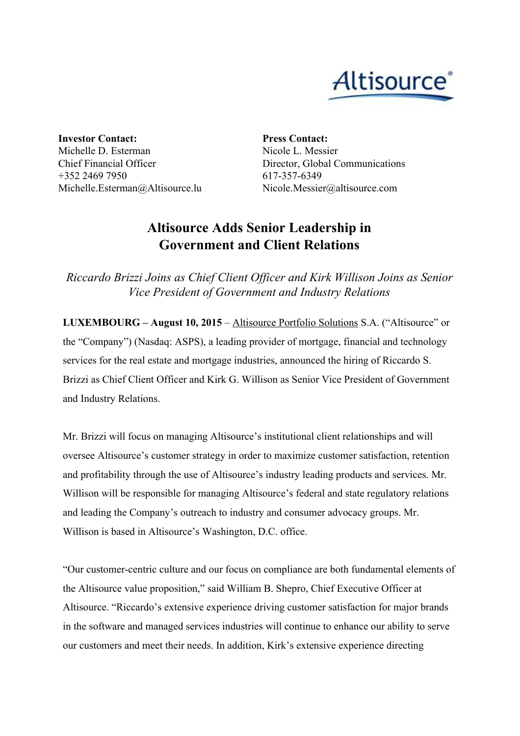

**Investor Contact:** Michelle D. Esterman Chief Financial Officer +352 2469 7950 Michelle.Esterman@Altisource.lu **Press Contact:** Nicole L. Messier Director, Global Communications 617-357-6349 Nicole.Messier@altisource.com

## **Altisource Adds Senior Leadership in Government and Client Relations**

*Riccardo Brizzi Joins as Chief Client Of icer and Kirk Willison Joins as Senior Vice President of Government and Industry Relations*

**LUXEMBOURG – August 10, 2015**– [Altisource](http://www.altisource.com/?utm_campaign=ASPS_CCOSVP&utm_source=PR) Portfolio Solutions S.A. ("Altisource" or the "Company") (Nasdaq: ASPS), a leading provider of mortgage, financial and technology services for the real estate and mortgage industries, announced the hiring of Riccardo S. Brizzi as Chief Client Officer and Kirk G. Willison as Senior Vice President of Government and Industry Relations.

Mr. Brizzi will focus on managing Altisource's institutional client relationships and will oversee Altisource's customer strategy in order to maximize customer satisfaction, retention and profitability through the use of Altisource's industry leading products and services. Mr. Willison will be responsible for managing Altisource's federal and state regulatory relations and leading the Company's outreach to industry and consumer advocacy groups. Mr. Willison is based in Altisource's Washington, D.C. office.

"Our customer-centric culture and our focus on compliance are both fundamental elements of the Altisource value proposition," said William B. Shepro, Chief Executive Officer at Altisource. "Riccardo's extensive experience driving customer satisfaction for major brands in the software and managed services industries will continue to enhance our ability to serve our customers and meet their needs. In addition, Kirk's extensive experience directing